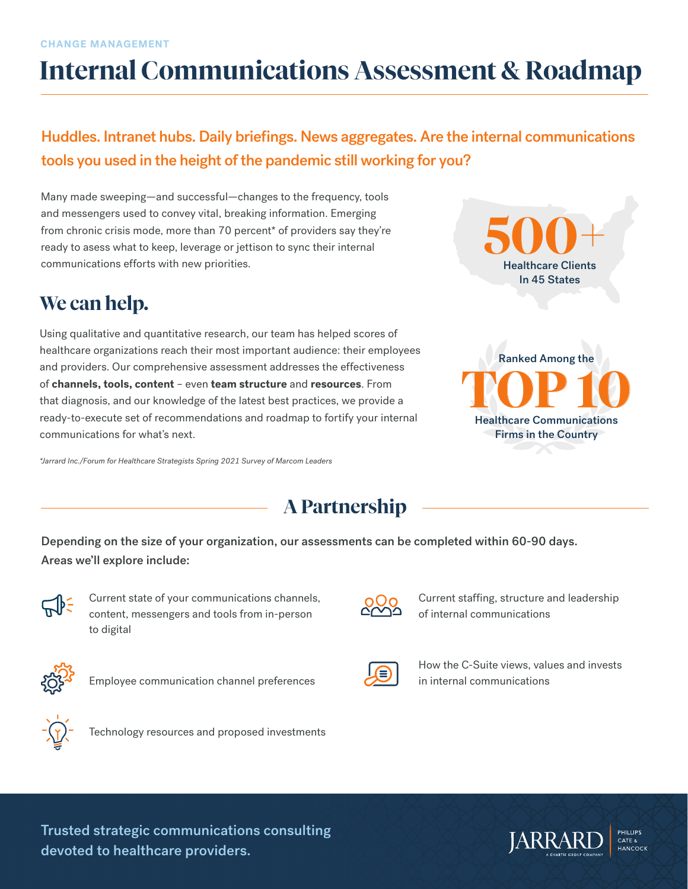# **Internal Communications Assessment & Roadmap**

### Huddles. Intranet hubs. Daily briefings. News aggregates. Are the internal communications tools you used in the height of the pandemic still working for you?

Many made sweeping—and successful—changes to the frequency, tools and messengers used to convey vital, breaking information. Emerging from chronic crisis mode, more than 70 percent\* of providers say they're ready to asess what to keep, leverage or jettison to sync their internal communications efforts with new priorities.

# **We can help.**

Using qualitative and quantitative research, our team has helped scores of healthcare organizations reach their most important audience: their employees and providers. Our comprehensive assessment addresses the effectiveness of **channels, tools, content** – even **team structure** and **resources**. From that diagnosis, and our knowledge of the latest best practices, we provide a ready-to-execute set of recommendations and roadmap to fortify your internal communications for what's next.

*\*Jarrard Inc./Forum for Healthcare Strategists Spring 2021 Survey of Marcom Leaders*



**TOP 10** Ranked Among the Healthcare Communications Firms in the Country

# **A Partnership**

Depending on the size of your organization, our assessments can be completed within 60-90 days. Areas we'll explore include:



Current state of your communications channels, content, messengers and tools from in-person to digital



Employee communication channel preferences



Current staffing, structure and leadership

of internal communications



How the C-Suite views, values and invests in internal communications



Technology resources and proposed investments

Trusted strategic communications consulting devoted to healthcare providers.